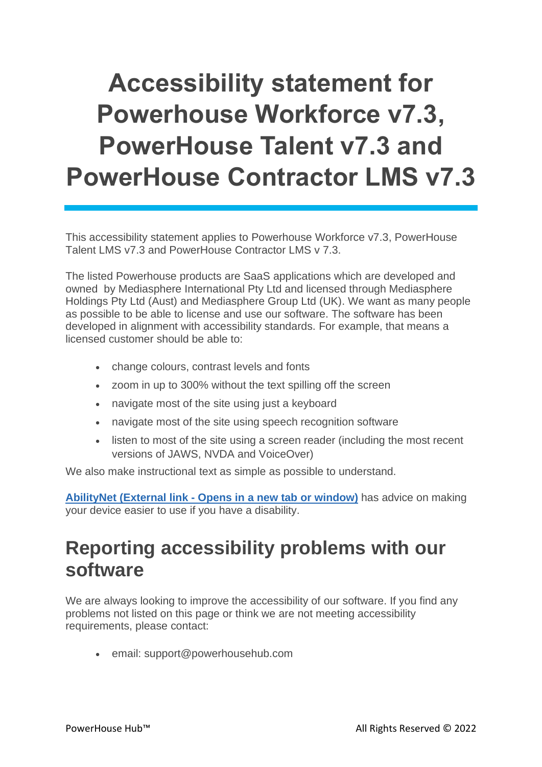# **Accessibility statement for Powerhouse Workforce v7.3, PowerHouse Talent v7.3 and PowerHouse Contractor LMS v7.3**

This accessibility statement applies to Powerhouse Workforce v7.3, PowerHouse Talent LMS v7.3 and PowerHouse Contractor LMS v 7.3.

The listed Powerhouse products are SaaS applications which are developed and owned by Mediasphere International Pty Ltd and licensed through Mediasphere Holdings Pty Ltd (Aust) and Mediasphere Group Ltd (UK). We want as many people as possible to be able to license and use our software. The software has been developed in alignment with accessibility standards. For example, that means a licensed customer should be able to:

- change colours, contrast levels and fonts
- zoom in up to 300% without the text spilling off the screen
- navigate most of the site using just a keyboard
- navigate most of the site using speech recognition software
- listen to most of the site using a screen reader (including the most recent versions of JAWS, NVDA and VoiceOver)

We also make instructional text as simple as possible to understand.

**[AbilityNet](https://mcmw.abilitynet.org.uk/) (External link - Opens in a new tab or window)** has advice on making your device easier to use if you have a disability.

#### **Reporting accessibility problems with our software**

We are always looking to improve the accessibility of our software. If you find any problems not listed on this page or think we are not meeting accessibility requirements, please contact:

• email: support@powerhousehub.com